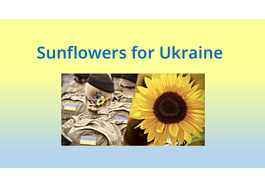# Sunflowers for Ukraine

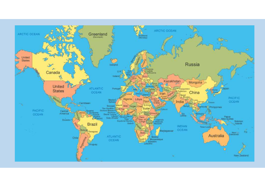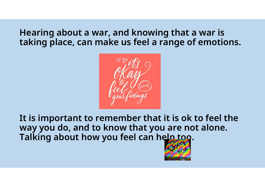Hearing about a war, and knowing that a war is taking place, can make us feel a range of emotions.



It is important to remember that it is ok to feel the way you do, and to know that you are not alone. Talking about how you feel can help too.

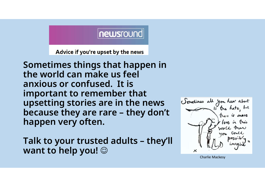### newsround

Advice if you're upset by the news

Sometimes things that happen in the world can make us feel anxious or confused. It is important to remember that upsetting stories are in the news anxious or confused. It is<br>anxious or confused. It is<br>important to remember that<br>upsetting stories are in the news<br>because they are rare – they don't<br>happen very often. happen very often. Talk to your trusted adults – they'll

want to help you!  $\odot$ 



Charlie Mackesy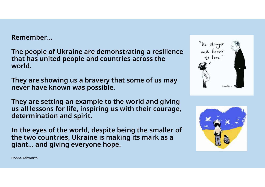#### Remember…

The people of Ukraine are demonstrating a resilience that has united people and countries across the world.

They are showing us a bravery that some of us may never have known was possible.

They are setting an example to the world and giving us all lessons for life, inspiring us with their courage, They are showing us a bravery<br>never have known was possibl<br>They are setting an example to<br>us all lessons for life, inspiring<br>determination and spirit.

In the eyes of the world, despite being the smaller of the two countries, Ukraine is making its mark as a giant… and giving everyone hope.





Donna Ashworth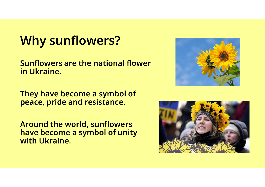## Why sunflowers?

Sunflowers are the national flower in Ukraine.

They have become a symbol of **pannentie are the national re**<br>in Ukraine.<br>They have become a symbol of<br>peace, pride and resistance.

Around the world, sunflowers have become a symbol of unity with Ukraine.



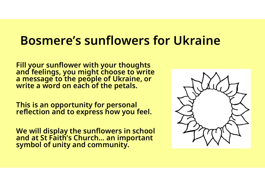### Bosmere's sunflowers for Ukraine

Fill your sunflower with your thoughts<br>and feelings, you might choose to write<br>a message to the people of Ukraine, or<br>write a word on each of the petals.

This is an opportunity for personal reflection and to express how you feel.

We will display the sunflowers in school and at St Faith's Church… an important symbol of unity and community.